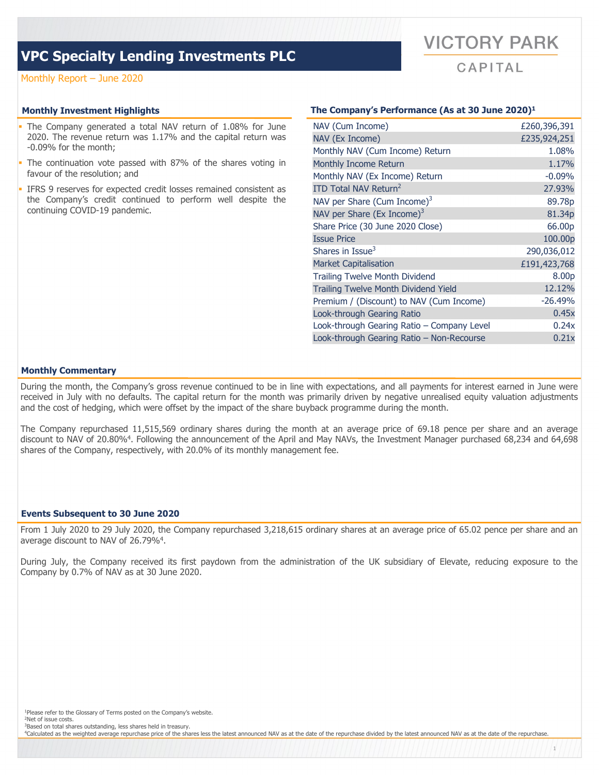## **VPC Specialty Lending Investments PLC**

### Monthly Report – June 2020

- The Company generated a total NAV return of 1.08% for June 2020. The revenue return was 1.17% and the capital return was -0.09% for the month;
- The continuation vote passed with 87% of the shares voting in favour of the resolution; and
- IFRS 9 reserves for expected credit losses remained consistent as the Company's credit continued to perform well despite the continuing COVID-19 pandemic.

### **Monthly Investment Highlights The Company's Performance (As at 30 June 2020)1**

**VICTORY PARK** 

 $CAPITAL$ 

| NAV (Cum Income)                            | £260,396,391 |
|---------------------------------------------|--------------|
| NAV (Ex Income)                             | £235,924,251 |
| Monthly NAV (Cum Income) Return             | 1.08%        |
| Monthly Income Return                       | 1.17%        |
| Monthly NAV (Ex Income) Return              | $-0.09%$     |
| ITD Total NAV Return <sup>2</sup>           | 27.93%       |
| NAV per Share (Cum Income) $3$              | 89.78p       |
| NAV per Share (Ex Income) $3$               | 81.34p       |
| Share Price (30 June 2020 Close)            | 66.00p       |
| <b>Issue Price</b>                          | 100.00p      |
| Shares in Issue <sup>3</sup>                | 290,036,012  |
| <b>Market Capitalisation</b>                | £191,423,768 |
| <b>Trailing Twelve Month Dividend</b>       | 8.00p        |
| <b>Trailing Twelve Month Dividend Yield</b> | 12.12%       |
| Premium / (Discount) to NAV (Cum Income)    | $-26.49%$    |
| Look-through Gearing Ratio                  | 0.45x        |
| Look-through Gearing Ratio - Company Level  | 0.24x        |
| Look-through Gearing Ratio - Non-Recourse   | 0.21x        |

1

### **Monthly Commentary**

During the month, the Company's gross revenue continued to be in line with expectations, and all payments for interest earned in June were received in July with no defaults. The capital return for the month was primarily driven by negative unrealised equity valuation adjustments and the cost of hedging, which were offset by the impact of the share buyback programme during the month.

The Company repurchased 11,515,569 ordinary shares during the month at an average price of 69.18 pence per share and an average discount to NAV of 20.80%4. Following the announcement of the April and May NAVs, the Investment Manager purchased 68,234 and 64,698 shares of the Company, respectively, with 20.0% of its monthly management fee.

### **Events Subsequent to 30 June 2020**

From 1 July 2020 to 29 July 2020, the Company repurchased 3,218,615 ordinary shares at an average price of 65.02 pence per share and an average discount to NAV of 26.79%4.

During July, the Company received its first paydown from the administration of the UK subsidiary of Elevate, reducing exposure to the Company by 0.7% of NAV as at 30 June 2020.

<sup>1</sup>Please refer to the Glossary of Terms posted on the Company's website.

2Net of issue costs.

3Based on total shares outstanding, less shares held in treasury.

<sup>4</sup>Calculated as the weighted average repurchase price of the shares less the latest announced NAV as at the date of the repurchase divided by the latest announced NAV as at the date of the repurchase.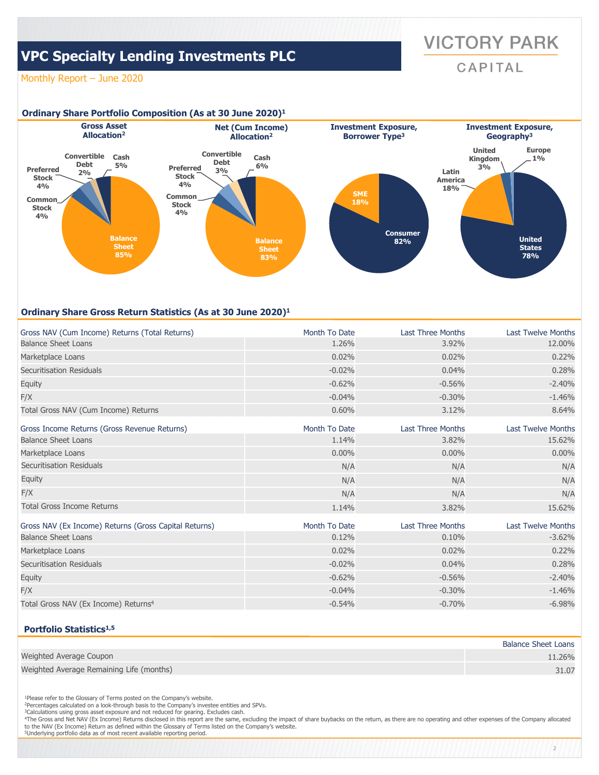# **VICTORY PARK**

CAPITAL

2

# **VPC Specialty Lending Investments PLC**

### Monthly Report – June 2020



### **Ordinary Share Gross Return Statistics (As at 30 June 2020)1**

| Gross NAV (Cum Income) Returns (Total Returns)        | Month To Date | <b>Last Three Months</b> | <b>Last Twelve Months</b> |
|-------------------------------------------------------|---------------|--------------------------|---------------------------|
| <b>Balance Sheet Loans</b>                            | 1.26%         | 3.92%                    | 12.00%                    |
| Marketplace Loans                                     | 0.02%         | 0.02%                    | 0.22%                     |
| Securitisation Residuals                              | $-0.02%$      | 0.04%                    | 0.28%                     |
| Equity                                                | $-0.62%$      | $-0.56%$                 | $-2.40%$                  |
| F/X                                                   | $-0.04%$      | $-0.30%$                 | $-1.46%$                  |
| Total Gross NAV (Cum Income) Returns                  | 0.60%         | 3.12%                    | 8.64%                     |
| Gross Income Returns (Gross Revenue Returns)          | Month To Date | <b>Last Three Months</b> | <b>Last Twelve Months</b> |
| <b>Balance Sheet Loans</b>                            | 1.14%         | 3.82%                    | 15.62%                    |
| Marketplace Loans                                     | 0.00%         | $0.00\%$                 | $0.00\%$                  |
| Securitisation Residuals                              | N/A           | N/A                      | N/A                       |
| <b>Equity</b>                                         | N/A           | N/A                      | N/A                       |
| F/X                                                   | N/A           | N/A                      | N/A                       |
| <b>Total Gross Income Returns</b>                     | 1.14%         | 3.82%                    | 15.62%                    |
| Gross NAV (Ex Income) Returns (Gross Capital Returns) | Month To Date | <b>Last Three Months</b> | <b>Last Twelve Months</b> |
| <b>Balance Sheet Loans</b>                            | 0.12%         | 0.10%                    | $-3.62%$                  |
| Marketplace Loans                                     | 0.02%         | 0.02%                    | 0.22%                     |
| Securitisation Residuals                              | $-0.02%$      | 0.04%                    | 0.28%                     |
| Equity                                                | $-0.62%$      | $-0.56%$                 | $-2.40%$                  |
| F/X                                                   | $-0.04%$      | $-0.30%$                 | $-1.46%$                  |
| Total Gross NAV (Ex Income) Returns <sup>4</sup>      | $-0.54%$      | $-0.70%$                 | $-6.98%$                  |

### **Portfolio Statistics1,5**

|                                          | <b>Balance Sheet Loans</b> |
|------------------------------------------|----------------------------|
| Weighted Average Coupon                  | 11.26%                     |
| Weighted Average Remaining Life (months) | 31.07                      |

<sup>1</sup>Please refer to the Glossary of Terms posted on the Company's website.<br><sup>2</sup>Percentages calculated on a look-through basis to the Company's investee entities and SPVs.

<sup>3</sup>Calculations using gross asset exposure and not reduced for gearing. Excludes cash. 4The Gross and Net NAV (Ex Income) Returns disclosed in this report are the same, excluding the impact of share buybacks on the return, as there are no operating and other expenses of the Company allocated

to the NAV (Ex Income) Return as defined within the Glossary of Terms listed on the Company's website. 5Underlying portfolio data as of most recent available reporting period.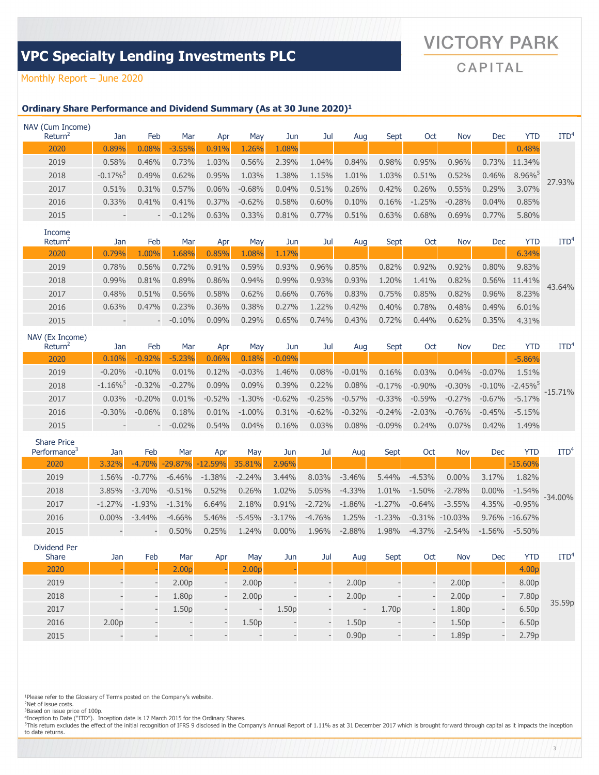# **VICTORY PARK**

# **VPC Specialty Lending Investments PLC**

CAPITAL

### Monthly Report – June 2020

### **Ordinary Share Performance and Dividend Summary (As at 30 June 2020)1**

| Return <sup>2</sup><br>Mar<br>YTD<br>Feb<br>Oct<br>Jan<br>Sept<br><b>Nov</b><br>Dec<br>Mav<br>Jun<br>Jul<br>Aug<br>Apr<br>.08%<br>0.08%<br>1.26%<br>0.48%<br>0.89%<br>$-3.55%$<br>0.91%<br>2020<br>2019<br>1.03%<br>0.56%<br>2.39%<br>0.98%<br>0.58%<br>0.73%<br>1.04%<br>0.84%<br>0.46%<br>0.95%<br>$0.96\%$<br>0.73%<br>11.34%<br>2018<br>$-0.17\%$ <sup>5</sup><br>$8.96\%$<br>1.38%<br>1.15%<br>1.03%<br>0.62%<br>0.95%<br>1.03%<br>1.01%<br>0.51%<br>0.52%<br>0.46%<br>0.49%<br>27.93%<br>2017<br>$-0.68%$<br>0.51%<br>0.26%<br>0.42%<br>0.26%<br>0.31%<br>$0.57\%$<br>$0.06\%$<br>0.04%<br>3.07%<br>0.51%<br>0.55%<br>0.29%<br>2016<br>0.58%<br>0.60%<br>$-1.25%$<br>0.33%<br>0.41%<br>0.41%<br>$0.37\%$<br>$-0.62%$<br>0.10%<br>0.16%<br>$-0.28%$<br>0.04%<br>0.85% | NAV (Cum Income) |   |          |       |       |       |       |       |       |       |       |       |       |            |
|----------------------------------------------------------------------------------------------------------------------------------------------------------------------------------------------------------------------------------------------------------------------------------------------------------------------------------------------------------------------------------------------------------------------------------------------------------------------------------------------------------------------------------------------------------------------------------------------------------------------------------------------------------------------------------------------------------------------------------------------------------------------------|------------------|---|----------|-------|-------|-------|-------|-------|-------|-------|-------|-------|-------|------------|
|                                                                                                                                                                                                                                                                                                                                                                                                                                                                                                                                                                                                                                                                                                                                                                            |                  |   |          |       |       |       |       |       |       |       |       |       |       | <b>ITD</b> |
|                                                                                                                                                                                                                                                                                                                                                                                                                                                                                                                                                                                                                                                                                                                                                                            |                  |   |          |       |       |       |       |       |       |       |       |       |       |            |
|                                                                                                                                                                                                                                                                                                                                                                                                                                                                                                                                                                                                                                                                                                                                                                            |                  |   |          |       |       |       |       |       |       |       |       |       |       |            |
|                                                                                                                                                                                                                                                                                                                                                                                                                                                                                                                                                                                                                                                                                                                                                                            |                  |   |          |       |       |       |       |       |       |       |       |       |       |            |
|                                                                                                                                                                                                                                                                                                                                                                                                                                                                                                                                                                                                                                                                                                                                                                            |                  |   |          |       |       |       |       |       |       |       |       |       |       |            |
|                                                                                                                                                                                                                                                                                                                                                                                                                                                                                                                                                                                                                                                                                                                                                                            |                  |   |          |       |       |       |       |       |       |       |       |       |       |            |
|                                                                                                                                                                                                                                                                                                                                                                                                                                                                                                                                                                                                                                                                                                                                                                            | 2015             | - | $-0.12%$ | 0.63% | 0.33% | 0.81% | 0.77% | 0.51% | 0.63% | 0.68% | 0.69% | 0.77% | 5.80% |            |

| Income<br>Return <sup>2</sup> | Jan      | Feb                      | Mar      | Apr      | Mav   | Jun      | Jul      | Aug   | Sept  | Oct      | <b>Nov</b> | Dec      | YTD    | ITD <sup>4</sup> |
|-------------------------------|----------|--------------------------|----------|----------|-------|----------|----------|-------|-------|----------|------------|----------|--------|------------------|
| 2020                          | .79%     | .00%                     | .68%     | 0.85%    | .08%  | 1.17%    |          |       |       |          |            |          | 6.34%  |                  |
| 2019                          | 0.78%    | 0.56%                    | 0.72%    | 0.91%    | 0.59% | 0.93%    | $0.96\%$ | 0.85% | 0.82% | $0.92\%$ | 0.92%      | $0.80\%$ | 9.83%  |                  |
| 2018                          | $0.99\%$ | 0.81%                    | 0.89%    | 0.86%    | 0.94% | 0.99%    | $0.93\%$ | 0.93% | 1.20% | 1.41%    | 0.82%      | $0.56\%$ | 11.41% | 43.64%           |
| 2017                          | 0.48%    | 0.51%                    | 0.56%    | 0.58%    | 0.62% | 0.66%    | 0.76%    | 0.83% | 0.75% | 0.85%    | 0.82%      | $0.96\%$ | 8.23%  |                  |
| 2016                          | 0.63%    | 0.47%                    | 0.23%    | 0.36%    | 0.38% | 0.27%    | 1.22%    | 0.42% | 0.40% | 0.78%    | 0.48%      | 0.49%    | 6.01%  |                  |
| 2015                          |          | $\overline{\phantom{0}}$ | $-0.10%$ | $0.09\%$ | 0.29% | $0.65\%$ | 0.74%    | 0.43% | 0.72% | 0.44%    | 0.62%      | 0.35%    | 4.31%  |                  |

| NAV (Ex Income)<br>Return <sup>2</sup> | Jan       | Feb                      | Mar      | Apr      | May       | Jun      | Jul      | Aug      | Sept     | <b>Oct</b> | <b>Nov</b> | Dec       | YTD                    | $\mathrm{ITD}^4$ |
|----------------------------------------|-----------|--------------------------|----------|----------|-----------|----------|----------|----------|----------|------------|------------|-----------|------------------------|------------------|
| 2020                                   | 0.10%     | $-0.92%$                 | $-5.23%$ | 0.06%    | 0.18%     | $-0.09%$ |          |          |          |            |            |           | $-5.86%$               |                  |
| 2019                                   | $-0.20%$  | $-0.10%$                 | $0.01\%$ | 0.12%    | $-0.03%$  | 1.46%    | $0.08\%$ | $-0.01%$ | 0.16%    | 0.03%      | 0.04%      | $-0.07\%$ | 1.51%                  |                  |
| 2018                                   | $-1.16\%$ | $-0.32%$                 | $-0.27%$ | $0.09\%$ | 0.09%     | $0.39\%$ | 0.22%    | 0.08%    | $-0.17%$ | $-0.90\%$  | $-0.30%$   | $-0.10%$  | $-2.45\%$ <sup>5</sup> |                  |
| 2017                                   | $0.03\%$  | $-0.20%$                 | $0.01\%$ | $-0.52%$ | $-1.30%$  | $-0.62%$ | $-0.25%$ | $-0.57%$ | $-0.33%$ | $-0.59%$   | $-0.27%$   | $-0.67%$  | $-5.17%$               | $-15.71%$        |
| 2016                                   | $-0.30\%$ | $-0.06%$                 | 0.18%    | 0.01%    | $-1.00\%$ | 0.31%    | $-0.62%$ | $-0.32%$ | $-0.24%$ | $-2.03%$   | $-0.76%$   | $-0.45%$  | $-5.15%$               |                  |
| 2015                                   |           | $\overline{\phantom{m}}$ | $-0.02%$ | 0.54%    | 0.04%     | 0.16%    | 0.03%    | 0.08%    | $-0.09%$ | $0.24\%$   | 0.07%      | 0.42%     | 1.49%                  |                  |

| <b>Share Price</b><br>Performance <sup>3</sup> | Jan       | Feb       | Mar       | Apr       | Mav      | Jun      | Jul      | Aug      | Sept     | Oct       | <b>Nov</b> | Dec       | YTD                | ITD <sup>4</sup> |
|------------------------------------------------|-----------|-----------|-----------|-----------|----------|----------|----------|----------|----------|-----------|------------|-----------|--------------------|------------------|
| 2020                                           | 3.32%     | $-4.70%$  | $-29.87%$ | $-12.59%$ | 35.81%   | 2.96%    |          |          |          |           |            |           | $-15.60%$          |                  |
| 2019                                           | 1.56%     | $-0.77\%$ | $-6.46%$  | $-1.38%$  | $-2.24%$ | 3.44%    | 8.03%    | $-3.46%$ | 5.44%    | $-4.53%$  | $0.00\%$   | 3.17%     | 1.82%              |                  |
| 2018                                           | 3.85%     | $-3.70%$  | $-0.51%$  | 0.52%     | 0.26%    | 1.02%    | $5.05\%$ | $-4.33%$ | $1.01\%$ | $-1.50%$  | $-2.78%$   | $0.00\%$  | $-1.54%$           |                  |
| 2017                                           | $-1.27\%$ | $-1.93\%$ | $-1.31%$  | 6.64%     | 2.18%    | 0.91%    | $-2.72%$ | $-1.86%$ | $-1.27%$ | $-0.64%$  | $-3.55%$   | $4.35\%$  | $-0.95%$           | $-34.00\%$       |
| 2016                                           | $0.00\%$  | $-3.44%$  | $-4.66%$  | 5.46%     | $-5.45%$ | $-3.17%$ | $-4.76%$ | 1.25%    | $-1.23%$ | $-0.31\%$ | $-10.03\%$ |           | $9.76\% - 16.67\%$ |                  |
| 2015                                           |           |           | $0.50\%$  | 0.25%     | .24%     | $0.00\%$ | 1.96%    | $-2.88%$ | 1.98%    | $-4.37%$  | $-2.54\%$  | $-1.56\%$ | $-5.50\%$          |                  |

Dividend Per Share Jan Feb Mar Apr May Jun Jul Aug Sept Oct Nov Dec YTD ITD<sup>4</sup> 2020 | - | 2.00p - 2.00p - | | | | | | | | | 4.00p 35.59p 2019 - - 2.00p - 2.00p - - 2.00p - - 2.00p - 8.00p 2018 - - 1.80p - 2.00p - - 2.00p - - 2.00p - 7.80p 2017 - - 1.50p - - 1.50p - - 1.70p - 1.80p - 6.50p 2016 2.00p - - - 1.50p - - 1.50p - - 1.50p - 6.50p 2015 - - - - - - - 0.90p - - 1.89p - 2.79p

<sup>1</sup>Please refer to the Glossary of Terms posted on the Company's website.

2Net of issue costs. <sup>3</sup>Based on issue price of 100p.

"Inception to Date ("ITD"). Inception date is 17 March 2015 for the Ordinary Shares.<br><sup>5</sup>This return excludes the effect of the initial recognition of IFRS 9 disclosed in the Company's Annual Report of 1.11% as at 31 Decemb to date returns.